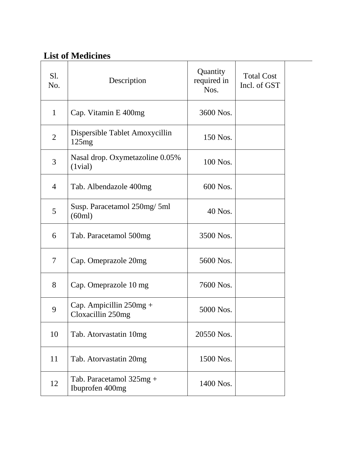## **List of Medicines**

| Sl.<br>No.     | Description                                      | Quantity<br>required in<br>Nos. | <b>Total Cost</b><br>Incl. of GST |
|----------------|--------------------------------------------------|---------------------------------|-----------------------------------|
| $\mathbf{1}$   | Cap. Vitamin E 400mg                             | 3600 Nos.                       |                                   |
| $\overline{2}$ | Dispersible Tablet Amoxycillin<br>125mg          | 150 Nos.                        |                                   |
| 3              | Nasal drop. Oxymetazoline 0.05%<br>$(1$ vial $)$ | 100 Nos.                        |                                   |
| $\overline{4}$ | Tab. Albendazole 400mg                           | 600 Nos.                        |                                   |
| 5              | Susp. Paracetamol 250mg/ 5ml<br>(60ml)           | 40 Nos.                         |                                   |
| 6              | Tab. Paracetamol 500mg                           | 3500 Nos.                       |                                   |
| 7              | Cap. Omeprazole 20mg                             | 5600 Nos.                       |                                   |
| 8              | Cap. Omeprazole 10 mg                            | 7600 Nos.                       |                                   |
| 9              | Cap. Ampicillin $250mg +$<br>Cloxacillin 250mg   | 5000 Nos.                       |                                   |
| 10             | Tab. Atorvastatin 10mg                           | 20550 Nos.                      |                                   |
| 11             | Tab. Atorvastatin 20mg                           | 1500 Nos.                       |                                   |
| 12             | Tab. Paracetamol $325mg +$<br>Ibuprofen 400mg    | 1400 Nos.                       |                                   |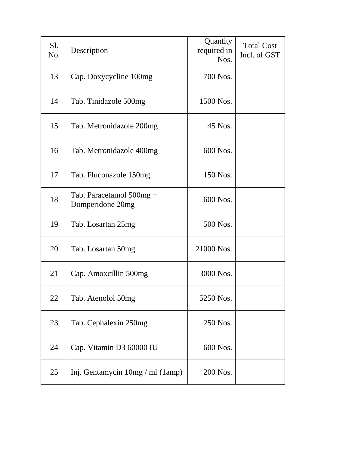| Sl.<br>No. | Description                                  | Quantity<br>required in<br>Nos. | <b>Total Cost</b><br>Incl. of GST |
|------------|----------------------------------------------|---------------------------------|-----------------------------------|
| 13         | Cap. Doxycycline 100mg                       | 700 Nos.                        |                                   |
| 14         | Tab. Tinidazole 500mg                        | 1500 Nos.                       |                                   |
| 15         | Tab. Metronidazole 200mg                     | 45 Nos.                         |                                   |
| 16         | Tab. Metronidazole 400mg                     | 600 Nos.                        |                                   |
| 17         | Tab. Fluconazole 150mg                       | 150 Nos.                        |                                   |
| 18         | Tab. Paracetamol 500mg +<br>Domperidone 20mg | 600 Nos.                        |                                   |
| 19         | Tab. Losartan 25mg                           | 500 Nos.                        |                                   |
| 20         | Tab. Losartan 50mg                           | 21000 Nos.                      |                                   |
| 21         | Cap. Amoxcillin 500mg                        | 3000 Nos.                       |                                   |
| 22         | Tab. Atenolol 50mg                           | 5250 Nos.                       |                                   |
| 23         | Tab. Cephalexin 250mg                        | 250 Nos.                        |                                   |
| 24         | Cap. Vitamin D3 60000 IU                     | 600 Nos.                        |                                   |
| 25         | Inj. Gentamycin 10mg / ml (1amp)             | 200 Nos.                        |                                   |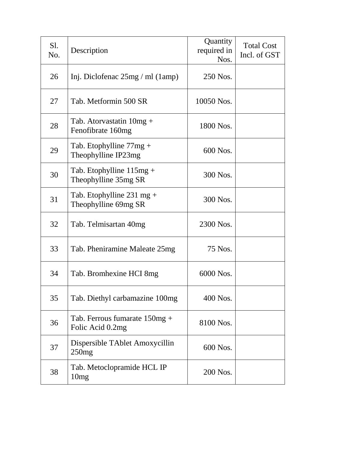| Sl.<br>No. | Description                                                 | Quantity<br>required in<br>Nos. | <b>Total Cost</b><br>Incl. of GST |
|------------|-------------------------------------------------------------|---------------------------------|-----------------------------------|
| 26         | Inj. Diclofenac $25mg / ml$ (1amp)                          | 250 Nos.                        |                                   |
| 27         | Tab. Metformin 500 SR                                       | 10050 Nos.                      |                                   |
| 28         | Tab. Atorvastatin 10mg +<br>Fenofibrate 160mg               | 1800 Nos.                       |                                   |
| 29         | Tab. Etophylline $77mg +$<br>Theophylline IP23mg            | 600 Nos.                        |                                   |
| 30         | Tab. Etophylline $115mg +$<br>Theophylline 35mg SR          | 300 Nos.                        |                                   |
| 31         | Tab. Etophylline $231 \text{ mg} +$<br>Theophylline 69mg SR | 300 Nos.                        |                                   |
| 32         | Tab. Telmisartan 40mg                                       | 2300 Nos.                       |                                   |
| 33         | Tab. Pheniramine Maleate 25mg                               | 75 Nos.                         |                                   |
| 34         | Tab. Bromhexine HCI 8mg                                     | 6000 Nos.                       |                                   |
| 35         | Tab. Diethyl carbamazine 100mg                              | 400 Nos.                        |                                   |
| 36         | Tab. Ferrous fumarate $150mg +$<br>Folic Acid 0.2mg         | 8100 Nos.                       |                                   |
| 37         | Dispersible TAblet Amoxycillin<br>250mg                     | 600 Nos.                        |                                   |
| 38         | Tab. Metoclopramide HCL IP<br>10mg                          | 200 Nos.                        |                                   |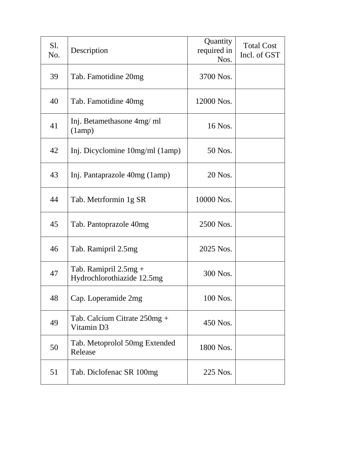| Sl.<br>No. | Description                                           | Quantity<br>required in<br>Nos. | <b>Total Cost</b><br>Incl. of GST |
|------------|-------------------------------------------------------|---------------------------------|-----------------------------------|
| 39         | Tab. Famotidine 20mg                                  | 3700 Nos.                       |                                   |
| 40         | Tab. Famotidine 40mg                                  | 12000 Nos.                      |                                   |
| 41         | Inj. Betamethasone 4mg/ ml<br>(1amp)                  | 16 Nos.                         |                                   |
| 42         | Inj. Dicyclomine 10mg/ml (1amp)                       | 50 Nos.                         |                                   |
| 43         | Inj. Pantaprazole 40mg (1amp)                         | 20 Nos.                         |                                   |
| 44         | Tab. Metrformin 1g SR                                 | 10000 Nos.                      |                                   |
| 45         | Tab. Pantoprazole 40mg                                | 2500 Nos.                       |                                   |
| 46         | Tab. Ramipril 2.5mg                                   | 2025 Nos.                       |                                   |
| 47         | Tab. Ramipril $2.5mg +$<br>Hydrochlorothiazide 12.5mg | 300 Nos.                        |                                   |
| 48         | Cap. Loperamide 2mg                                   | 100 Nos.                        |                                   |
| 49         | Tab. Calcium Citrate $250mg +$<br>Vitamin D3          | 450 Nos.                        |                                   |
| 50         | Tab. Metoprolol 50mg Extended<br>Release              | 1800 Nos.                       |                                   |
| 51         | Tab. Diclofenac SR 100mg                              | 225 Nos.                        |                                   |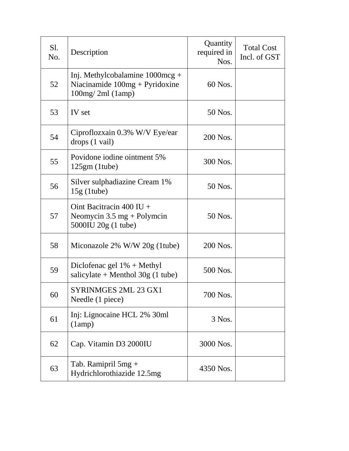| Sl.<br>No. | Description                                                                                        | Quantity<br>required in<br>Nos. | <b>Total Cost</b><br>Incl. of GST |
|------------|----------------------------------------------------------------------------------------------------|---------------------------------|-----------------------------------|
| 52         | Inj. Methylcobalamine $1000mcg +$<br>Niacinamide $100mg + Pyridoxine$<br>100mg/2ml (1amp)          | 60 Nos.                         |                                   |
| 53         | IV set                                                                                             | 50 Nos.                         |                                   |
| 54         | Ciproflozxain 0.3% W/V Eye/ear<br>drops (1 vail)                                                   | 200 Nos.                        |                                   |
| 55         | Povidone iodine ointment 5%<br>$125gm$ (1tube)                                                     | 300 Nos.                        |                                   |
| 56         | Silver sulphadiazine Cream 1%<br>$15g$ (1tube)                                                     | 50 Nos.                         |                                   |
| 57         | Oint Bacitracin $400$ IU +<br>Neomycin $3.5 \text{ mg} + \text{Polymcin}$<br>5000IU $20g(1)$ tube) | 50 Nos.                         |                                   |
| 58         | Miconazole $2\%$ W/W $20g$ (1tube)                                                                 | 200 Nos.                        |                                   |
| 59         | Diclofenac gel $1\%$ + Methyl<br>salicylate + Menthol $30g(1)$ tube)                               | 500 Nos.                        |                                   |
| 60         | SYRINMGES 2ML 23 GX1<br>Needle (1 piece)                                                           | 700 Nos.                        |                                   |
| 61         | Inj: Lignocaine HCL 2% 30ml<br>(1amp)                                                              | 3 Nos.                          |                                   |
| 62         | Cap. Vitamin D3 2000IU                                                                             | 3000 Nos.                       |                                   |
| 63         | Tab. Ramipril $5mg +$<br>Hydrichlorothiazide 12.5mg                                                | 4350 Nos.                       |                                   |